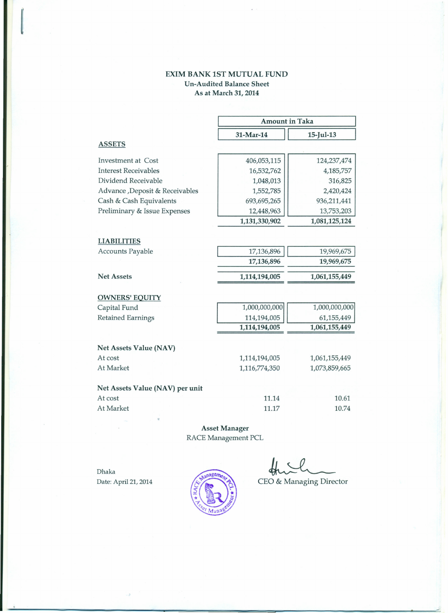## EXIM BANK 1ST MUTUAL FUND Un-Audited Balance Sheet As at March 31, 2014

|                                 | <b>Amount in Taka</b> |               |
|---------------------------------|-----------------------|---------------|
|                                 | 31-Mar-14             | $15$ -Jul-13  |
| <b>ASSETS</b>                   |                       |               |
| <b>Investment at Cost</b>       | 406,053,115           | 124, 237, 474 |
| <b>Interest Receivables</b>     | 16,532,762            | 4,185,757     |
| Dividend Receivable             | 1,048,013             | 316,825       |
| Advance , Deposit & Receivables | 1,552,785             | 2,420,424     |
| Cash & Cash Equivalents         | 693,695,265           | 936,211,441   |
| Preliminary & Issue Expenses    | 12,448,963            | 13,753,203    |
|                                 | 1,131,330,902         | 1,081,125,124 |
|                                 |                       |               |
| <b>LIABILITIES</b>              |                       |               |
| Accounts Payable                | 17,136,896            | 19,969,675    |
|                                 | 17,136,896            | 19,969,675    |
| <b>Net Assets</b>               | 1,114,194,005         | 1,061,155,449 |
| <b>OWNERS' EQUITY</b>           |                       |               |
| Capital Fund                    | 1,000,000,000         | 1,000,000,000 |
| <b>Retained Earnings</b>        | 114,194,005           | 61,155,449    |
|                                 | 1,114,194,005         | 1,061,155,449 |
| Net Assets Value (NAV)          |                       |               |
| At cost                         | 1,114,194,005         | 1,061,155,449 |
| At Market                       | 1,116,774,350         | 1,073,859,665 |
| Net Assets Value (NAV) per unit |                       |               |
| At cost                         | 11.14                 | 10.61         |
| At Market                       | 11.17                 | 10.74         |

Asset Manager RACE Management PCL

Dhaka

•



 $\frac{d}{dt}$ 

Date: April 21, 2014 (All CEO & Managing Director